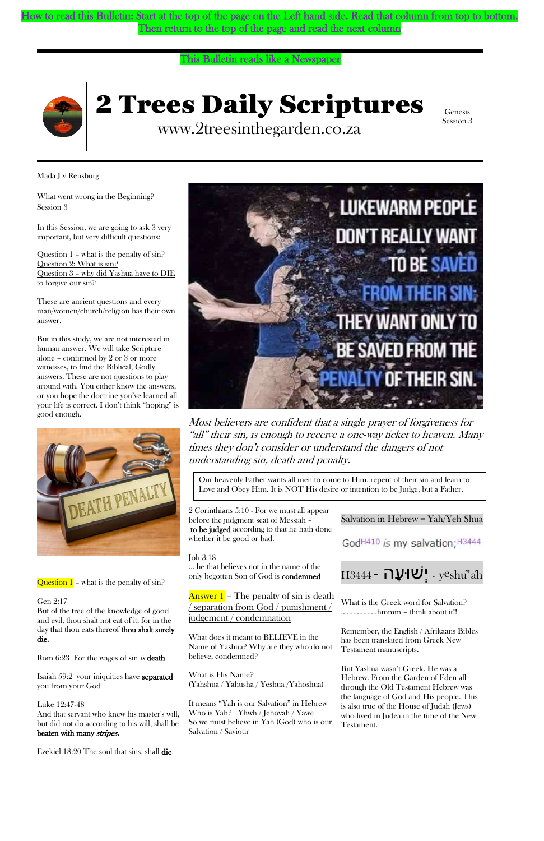## This Bulletin reads like a Newspaper



# 2 Trees Daily Scriptures

www.2treesinthegarden.co.za

Genesis Session 3

Mada J v Rensburg

What went wrong in the Beginning? Session 3

Question  $1$  – what is the penalty of  $\sin^5$ Question 2: What is sin? Question 3 – why did Yashua have to DIE to forgive our sin?

In this Session, we are going to ask 3 very important, but very difficult questions:

These are ancient questions and every man/women/church/religion has their own answer.

But in this study, we are not interested in human answer. We will take Scripture alone – confirmed by 2 or 3 or more witnesses, to find the Biblical, Godly answers. These are not questions to play around with. You either know the answers, or you hope the doctrine you've learned all your life is correct. I don't think "hoping" is good enough.



Question  $1$  – what is the penalty of  $\sin^5$ 

Answer 1 – The penalty of sin is death / separation from God / punishment /

Most believers are confident that a single prayer of forgiveness for "all" their sin, is enough to receive a one-way ticket to heaven. Many times they don't consider or understand the dangers of not understanding sin, death and penalty.

2 [Corinthians](https://www.kingjamesbibleonline.org/2-Corinthians-5-10/) 5:10 - For we must all appear before the judgment seat of Messiah – to be judged according to that he hath done whether it be good or bad.

#### Joh 3:18

[Luke 12:47-48](https://www.bibletools.org/index.cfm/fuseaction/bible.show/sVerseID/25507/eVerseID/25508) And that servant who knew his master's will, but did not do according to his will, shall be beaten with many stripes.

… he that believes not in the name of the only begotten Son of God is condemned

judgement / condemnation

What does it meant to BELIEVE in the Name of Yashua? Why are they who do not believe, condemned?

What is His Name? (Yahshua / Yahusha / Yeshua /Yahoshua)

It means "Yah is our Salvation" in Hebrew Who is Yah? Yhwh / Jehovah / Yawe So we must believe in Yah (God) who is our Salvation / Saviour

## Salvation in Hebrew = Yah/Yeh Shua

God<sup>H410</sup> is my salvation; <sup>H3444</sup>



What is the Greek word for Salvation? ………………hmmm – think about it!!

Rom 6:23 For the wages of sin *is* death

Remember, the English / Afrikaans Bibles has been translated from Greek New Testament manuscripts.

But Yashua wasn't Greek. He was a Hebrew. From the Garden of Eden all through the Old Testament Hebrew was the language of God and His people. This is also true of the House of Judah (Jews) who lived in Judea in the time of the New Testament.

#### Gen 2:17

But of the tree of the knowledge of good and evil, thou shalt not eat of it: for in the day that thou eats thereof thou shalt surely die.



[Isaiah 59:2](https://www.bibletools.org/index.cfm/fuseaction/bible.show/sVerseID/18803/eVerseID/18803) your iniquities have separated you from your God

[Ezekiel](https://www.kingjamesbibleonline.org/Ezekiel-18-20/) 18:20 The soul that sins, shall die.

How to read this Bulletin: Start at the top of the page on the Left hand side. Read that column from top to bottom. Then return to the top of the page and read the next column

> Our heavenly Father wants all men to come to Him, repent of their sin and learn to Love and Obey Him. It is NOT His desire or intention to be Judge, but a Father.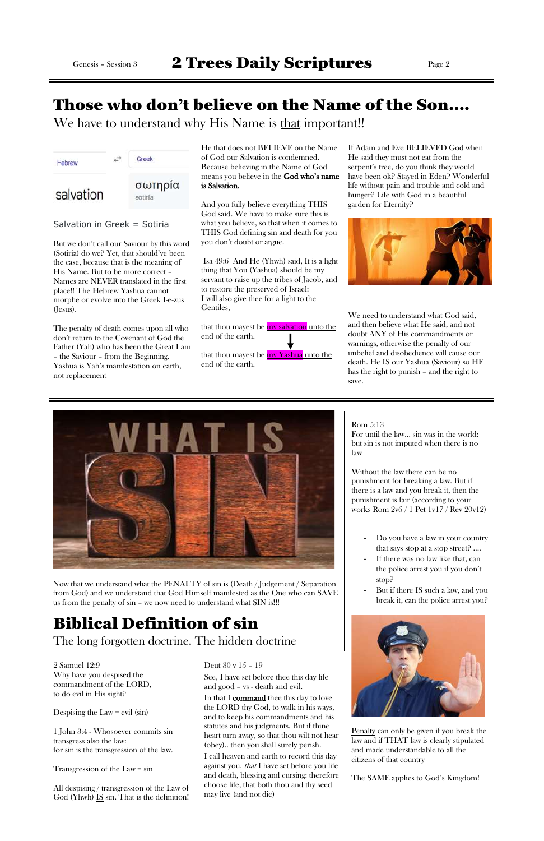# Those who don't believe on the Name of the Son….

We have to understand why His Name is that important!!



Salvation in Greek = Sotiria

But we don't call our Saviour by this word (Sotiria) do we? Yet, that should've been the case, because that is the meaning of His Name. But to be more correct – Names are NEVER translated in the first place!! The Hebrew Yashua cannot morphe or evolve into the Greek I-e-zus (Jesus).

The penalty of death comes upon all who don't return to the Covenant of God the Father (Yah) who has been the Great I am – the Saviour – from the Beginning. Yashua is Yah's manifestation on earth, not replacement

that thou mayest be my Yashua unto the end of the earth.

He that does not BELIEVE on the Name of God our Salvation is condemned. Because believing in the Name of God means you believe in the God who's name is Salvation.

And you fully believe everything THIS God said. We have to make sure this is what you believe, so that when it comes to THIS God defining sin and death for you you don't doubt or argue.

> We need to understand what God said. and then believe what He said, and not doubt ANY of His commandments or warnings, otherwise the penalty of our unbelief and disobedience will cause our death. He IS our Yashua (Saviour) so HE has the right to punish – and the right to save.

Isa 49:6 And He (Yhwh) said, It is a light thing that You (Yashua) should be my servant to raise up the tribes of Jacob, and to restore the preserved of Israel: I will also give thee for a light to the Gentiles,

that thou mayest be **my salvation** unto the end of the earth.

- Do you have a law in your country that says stop at a stop street? ….
- If there was no law like that, can the police arrest you if you don't stop?
- But if there IS such a law, and you break it, can the police arrest you?

If Adam and Eve BELIEVED God when He said they must not eat from the serpent's tree, do you think they would have been ok? Stayed in Eden? Wonderful life without pain and trouble and cold and hunger? Life with God in a beautiful garden for Eternity?



All despising / transgression of the Law of God (Yhwh) IS sin. That is the definition!

#### Rom 5:13

For until the law… sin was in the world: but sin is not imputed when there is no law

Without the law there can be no punishment for breaking a law. But if there is a law and you break it, then the punishment is fair (according to your works Rom 2v6 / 1 Pet 1v17 / Rev 20v12)

Penalty can only be given if you break the law and if THAT law is clearly stipulated and made understandable to all the citizens of that country

The SAME applies to God's Kingdom!



Now that we understand what the PENALTY of sin is (Death / Judgement / Separation from God) and we understand that God Himself manifested as the One who can SAVE us from the penalty of sin – we now need to understand what SIN is!!!

# Biblical Definition of sin

## The long forgotten doctrine. The hidden doctrine

[2 Samuel 12:9](https://www.bibletools.org/index.cfm/fuseaction/bible.show/sVerseID/8296/eVerseID/8301)  Why have you despised the commandment of the LORD, to do evil in His sight?

Despising the Law  $=$  evil (sin)

1 [John](https://www.kingjamesbibleonline.org/1-John-3-4/) 3:4 - Whosoever commits sin transgress also the law: for sin is the transgression of the law.

Transgression of the Law = sin

Deut 30 v 15 – 19

See, I have set before thee this day life and good – vs - death and evil.

In that I command thee this day to love the LORD thy God, to walk in his ways, and to keep his commandments and his statutes and his judgments. But if thine heart turn away, so that thou wilt not hear (obey).. then you shall surely perish.

I call heaven and earth to record this day against you, that I have set before you life and death, blessing and cursing: therefore choose life, that both thou and thy seed may live (and not die)

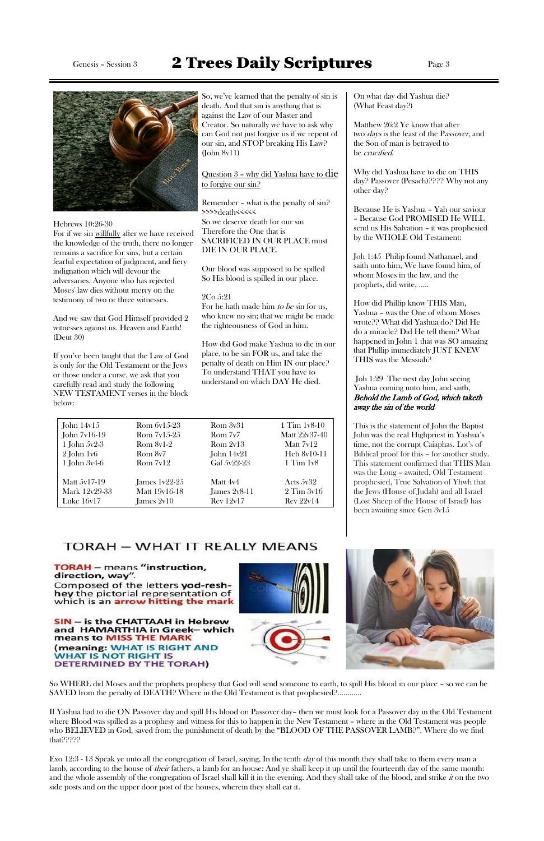So, we've learned that the penalty of sin is death. And that sin is anything that is against the Law of our Master and Creator. So naturally we have to ask why can God not just forgive us if we repent of our sin, and STOP breaking His Law? (John 8v11)

Question 3 – why did Yashua have to die to forgive our sin?

For he hath made him *to be* sin for us. who knew no sin; that we might be made the righteousness of God in him.

Remember – what is the penalty of sin? >>>>death<<<<<

So we deserve death for our sin Therefore the One that is SACRIFICED IN OUR PLACE must DIE IN OUR PLACE.

Our blood was supposed to be spilled So His blood is spilled in our place.

### 2Co 5:21

How did God make Yashua to die in our place, to be sin FOR us, and take the penalty of death on Him IN our place? To understand THAT you have to understand on which DAY He died.

On what day did Yashua die? (What Feast day?)

Matthew 26:2 Ye know that after two *days* is the feast of the Passover, and the Son of man is betrayed to be crucified.

Why did Yashua have to die on THIS day? Passover (Pesach)???? Why not any other day?

Because He is Yashua – Yah our saviour – Because God PROMISED He WILL send us His Salvation – it was prophesied by the WHOLE Old Testament:

Joh 1:45 Philip found Nathanael, and saith unto him, We have found him, of whom Moses in the law, and the prophets, did write, …..

How did Phillip know THIS Man, Yashua – was the One of whom Moses wrote?? What did Yashua do? Did He do a miracle? Did He tell them? What happened in John 1 that was SO amazing that Phillip immediately JUST KNEW THIS was the Messiah?

#### Joh 1:29 The next day John seeing Yashua coming unto him, and saith, Behold the Lamb of God, which taketh away the sin of the world.

Exo 12:3 - 13 Speak ye unto all the congregation of Israel, saying, In the tenth  $day$  of this month they shall take to them every man a lamb, according to the house of *their* fathers, a lamb for an house: And ye shall keep it up until the fourteenth day of the same month: and the whole assembly of the congregation of Israel shall kill it in the evening. And they shall take of the blood, and strike *it* on the two side posts and on the upper door post of the houses, wherein they shall eat it.

This is the statement of John the Baptist John was the real Highpriest in Yashua's time, not the corrupt Caiaphas. Lot's of Biblical proof for this – for another study. This statement confirmed that THIS Man was the Long – awaited, Old Testament prophesied, True Salvation of Yhwh that the Jews (House of Judah) and all Israel (Lost Sheep of the House of Israel) has been awaiting since Gen 3v15



#### in Hebrew IS and HAMARTHIA in Greek– which means to MISS THE MARK (meaning: WHAT IS RIGHT AND **WHAT IS NOT RIGHT IS** DETERMINED BY THE TORAH)



# Genesis - Session 3 2 Trees Daily Scriptures Page 3



Hebrews 10:26-30

For if we sin willfully after we have received the knowledge of the truth, there no longer remains a sacrifice for sins, but a certain fearful expectation of judgment, and fiery indignation which will devour the adversaries. Anyone who has rejected Moses' law dies without mercy on the testimony of two or three witnesses.

And we saw that God Himself provided 2 witnesses against us. Heaven and Earth! (Deut 30)

If you've been taught that the Law of God is only for the Old Testament or the Jews or those under a curse, we ask that you carefully read and study the following NEW TESTAMENT verses in the block below:

So WHERE did Moses and the prophets prophesy that God will send someone to earth, to spill His blood in our place – so we can be SAVED from the penalty of DEATH? Where in the Old Testament is that prophesied?............

If Yashua had to die ON Passover day and spill His blood on Passover day– then we must look for a Passover day in the Old Testament where Blood was spilled as a prophesy and witness for this to happen in the New Testament – where in the Old Testament was people who BELIEVED in God, saved from the punishment of death by the "BLOOD OF THE PASSOVER LAMB?". Where do we find that?????

| John $14v15$     | Rom 6v15-23     | Rom 3v31         | $1$ Tim $1v8-10$ |
|------------------|-----------------|------------------|------------------|
| John $7v16-19$   | $Rom 7v15-25$   | Rom 7v7          | Matt 22v37-40    |
| 1 John $5v2-3$   | $Rom 8v1-2$     | Rom $2v13$       | Matt 7v12        |
| $2$ John $1v6$   | Rom 8v7         | John $14v21$     | Heb 8v10-11      |
| $1$ John $3v4-6$ | Rom $7v12$      | Gal 5y22-23      | $1$ Tim $1v8$    |
| Matt 5v17-19     | James $1v22-25$ | Matt 4v4         | Acts $5v32$      |
| Mark 12v29-33    | Matt 19v16-18   | James $2v8-11$   | $2$ Tim $3v16$   |
| Luke 16v17       | James 2v10      | <b>Rev 12v17</b> | Rev 22v14        |

## **TORAH - WHAT IT REALLY MEANS**

**TORAH** - means "instruction, direction, way". Composed of the letters yod-reshhey the pictorial representation of which is an **arrow hitting the mark** 

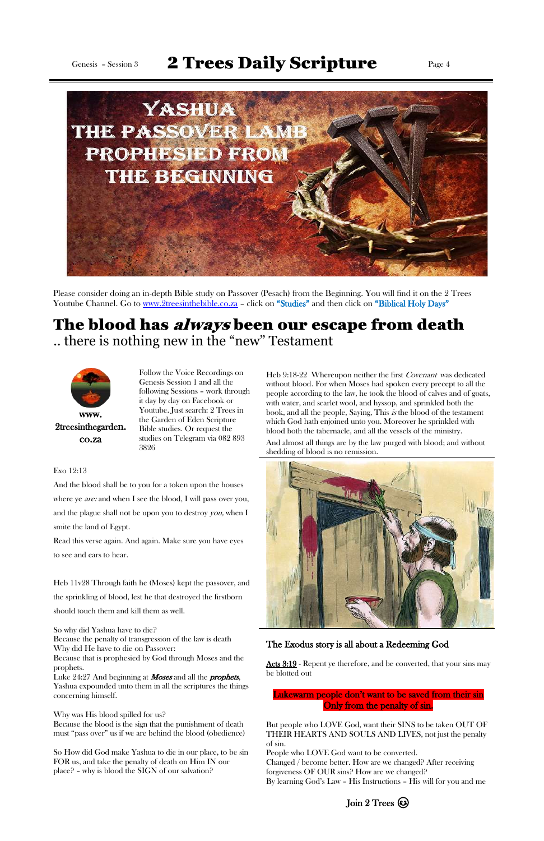# Genesis - Session 3  $2$  Trees Daily Scripture Page 4



Please consider doing an in-depth Bible study on Passover (Pesach) from the Beginning. You will find it on the 2 Trees Youtube Channel. Go to [www.2treesinthebible.co.za](http://www.2treesinthebible.co.za/) - click on "Studies" and then click on "Biblical Holy Days"

# The blood has *always* been our escape from death .. there is nothing new in the "new" Testament



Follow the Voice Recordings on Genesis Session 1 and all the following Sessions – work through it day by day on Facebook or Youtube. Just search: 2 Trees in the Garden of Eden Scripture Bible studies. Or request the studies on Telegram via 082 893 3826

Heb 9:18-22 Whereupon neither the first Covenant was dedicated without blood. For when Moses had spoken every precept to all the people according to the law, he took the blood of calves and of goats, with water, and scarlet wool, and hyssop, and sprinkled both the book, and all the people, Saying, This *is* the blood of the testament which God hath enjoined unto you. Moreover he sprinkled with blood both the tabernacle, and all the vessels of the ministry.

Luke 24:27 And beginning at *Moses* and all the *prophets*, Yashua expounded unto them in all the scriptures the things concerning himself.

Why was His blood spilled for us? Because the blood is the sign that the punishment of death must "pass over" us if we are behind the blood (obedience) And almost all things are by the law purged with blood; and without shedding of blood is no remission.



[Acts 3:19](https://www.kingjamesbibleonline.org/Acts-3-19/) - Repent ye therefore, and be converted, that your sins may be blotted out

#### Exo 12:13

And the blood shall be to you for a token upon the houses where ye *are:* and when I see the blood, I will pass over you, and the plague shall not be upon you to destroy *you*, when I smite the land of Egypt.

Read this verse again. And again. Make sure you have eyes to see and ears to hear.

Heb 11v28 Through faith he (Moses) kept the passover, and the sprinkling of blood, lest he that destroyed the firstborn should touch them and kill them as well.

So why did Yashua have to die?

Because the penalty of transgression of the law is death Why did He have to die on Passover:

Because that is prophesied by God through Moses and the prophets.

So How did God make Yashua to die in our place, to be sin FOR us, and take the penalty of death on Him IN our place? – why is blood the SIGN of our salvation?

## The Exodus story is all about a Redeeming God

## Lukewarm people don't want to be saved from their sin Only from the penalty of sin.

But people who LOVE God, want their SINS to be taken OUT OF THEIR HEARTS AND SOULS AND LIVES, not just the penalty of sin.

People who LOVE God want to be converted. Changed / become better. How are we changed? After receiving forgiveness OF OUR sins? How are we changed? By learning God's Law – His Instructions – His will for you and me